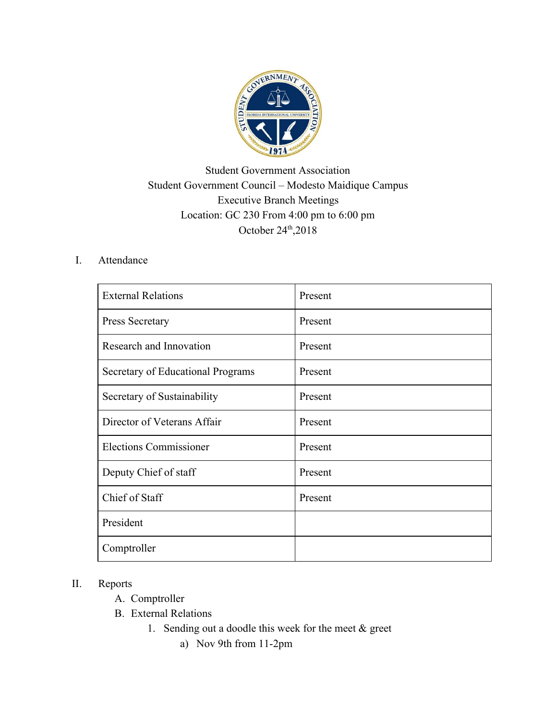

## Student Government Association Student Government Council – Modesto Maidique Campus Executive Branch Meetings Location: GC 230 From 4:00 pm to 6:00 pm October  $24<sup>th</sup>$ ,  $2018$

## I. Attendance

| <b>External Relations</b>         | Present |
|-----------------------------------|---------|
| Press Secretary                   | Present |
| Research and Innovation           | Present |
| Secretary of Educational Programs | Present |
| Secretary of Sustainability       | Present |
| Director of Veterans Affair       | Present |
| <b>Elections Commissioner</b>     | Present |
| Deputy Chief of staff             | Present |
| Chief of Staff                    | Present |
| President                         |         |
| Comptroller                       |         |

## II. Reports

- A. Comptroller
- B. External Relations
	- 1. Sending out a doodle this week for the meet & greet
		- a) Nov 9th from 11-2pm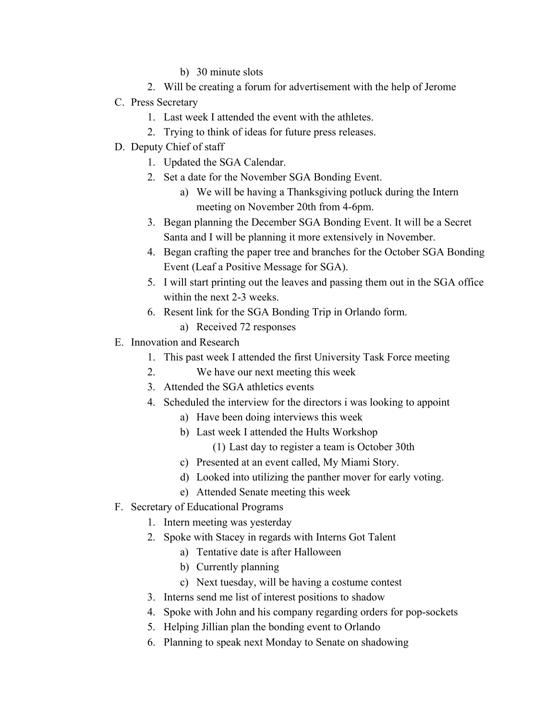- b) 30 minute slots
- 2. Will be creating a forum for advertisement with the help of Jerome
- C. Press Secretary
	- 1. Last week I attended the event with the athletes.
	- 2. Trying to think of ideas for future press releases.
- D. Deputy Chief of staff
	- 1. Updated the SGA Calendar.
	- 2. Set a date for the November SGA Bonding Event.
		- a) We will be having a Thanksgiving potluck during the Intern meeting on November 20th from 4-6pm.
	- 3. Began planning the December SGA Bonding Event. It will be a Secret Santa and I will be planning it more extensively in November.
	- 4. Began crafting the paper tree and branches for the October SGA Bonding Event (Leaf a Positive Message for SGA).
	- 5. I will start printing out the leaves and passing them out in the SGA office within the next 2-3 weeks.
	- 6. Resent link for the SGA Bonding Trip in Orlando form.
		- a) Received 72 responses
- E. Innovation and Research
	- 1. This past week I attended the first University Task Force meeting
	- 2. We have our next meeting this week
	- 3. Attended the SGA athletics events
	- 4. Scheduled the interview for the directors i was looking to appoint
		- a) Have been doing interviews this week
		- b) Last week I attended the Hults Workshop
			- (1) Last day to register a team is October 30th
		- c) Presented at an event called, My Miami Story.
		- d) Looked into utilizing the panther mover for early voting.
		- e) Attended Senate meeting this week
- F. Secretary of Educational Programs
	- 1. Intern meeting was yesterday
		- 2. Spoke with Stacey in regards with Interns Got Talent
			- a) Tentative date is after Halloween
			- b) Currently planning
			- c) Next tuesday, will be having a costume contest
		- 3. Interns send me list of interest positions to shadow
		- 4. Spoke with John and his company regarding orders for pop-sockets
		- 5. Helping Jillian plan the bonding event to Orlando
		- 6. Planning to speak next Monday to Senate on shadowing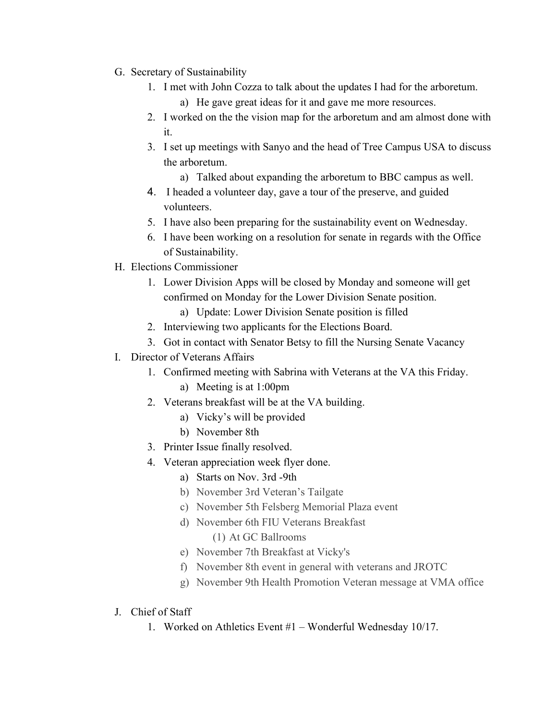- G. Secretary of Sustainability
	- 1. I met with John Cozza to talk about the updates I had for the arboretum.
		- a) He gave great ideas for it and gave me more resources.
	- 2. I worked on the the vision map for the arboretum and am almost done with it.
	- 3. I set up meetings with Sanyo and the head of Tree Campus USA to discuss the arboretum.
		- a) Talked about expanding the arboretum to BBC campus as well.
	- 4. I headed a volunteer day, gave a tour of the preserve, and guided volunteers.
	- 5. I have also been preparing for the sustainability event on Wednesday.
	- 6. I have been working on a resolution for senate in regards with the Office of Sustainability.
- H. Elections Commissioner
	- 1. Lower Division Apps will be closed by Monday and someone will get confirmed on Monday for the Lower Division Senate position.
		- a) Update: Lower Division Senate position is filled
	- 2. Interviewing two applicants for the Elections Board.
	- 3. Got in contact with Senator Betsy to fill the Nursing Senate Vacancy
- I. Director of Veterans Affairs
	- 1. Confirmed meeting with Sabrina with Veterans at the VA this Friday.
		- a) Meeting is at 1:00pm
	- 2. Veterans breakfast will be at the VA building.
		- a) Vicky's will be provided
		- b) November 8th
	- 3. Printer Issue finally resolved.
	- 4. Veteran appreciation week flyer done.
		- a) Starts on Nov. 3rd -9th
		- b) November 3rd Veteran's Tailgate
		- c) November 5th Felsberg Memorial Plaza event
		- d) November 6th FIU Veterans Breakfast

(1) At GC Ballrooms

- e) November 7th Breakfast at Vicky's
- f) November 8th event in general with veterans and JROTC
- g) November 9th Health Promotion Veteran message at VMA office
- J. Chief of Staff
	- 1. Worked on Athletics Event #1 Wonderful Wednesday 10/17.